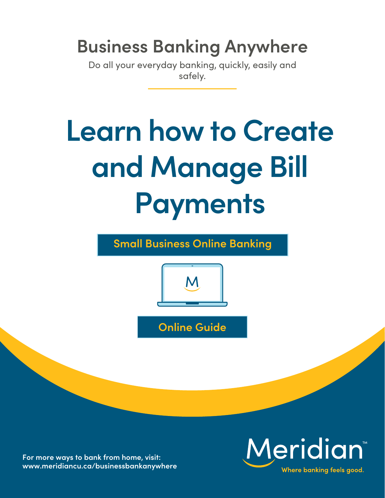## **Business Banking Anywhere**

Do all your everyday banking, quickly, easily and safely.

# **Learn how to Create and Manage Bill Payments**

**Small Business Online Banking** 



**Online Guide** 

**For more ways to bank from home, visit: [www.meridiancu.ca/businessbankanywhere](http://www.meridiancu.ca/businessbankanywhere)**

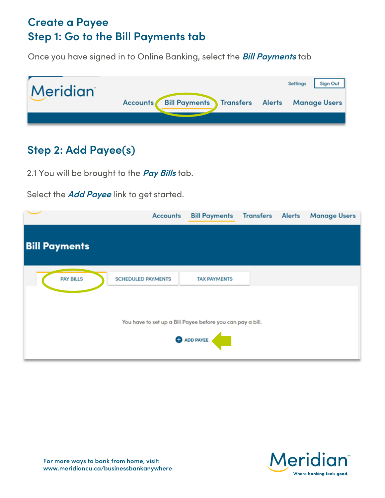#### **Create a Payee Step 1: Go to the Bill Payments tab**

Once you have signed in to Online Banking, select the **Bill Payments** tab



## **Step 2: Add Payee(s)**

2.1 You will be brought to the **Pay Bills** tab.

Select the **Add Payee** link to get started.

|                                                                                  | <b>Accounts</b>           | <b>Bill Payments</b> | <b>Transfers Alerts</b> |  | <b>Manage Users</b> |  |  |
|----------------------------------------------------------------------------------|---------------------------|----------------------|-------------------------|--|---------------------|--|--|
| <b>Bill Payments</b>                                                             |                           |                      |                         |  |                     |  |  |
| <b>PAY BILLS</b>                                                                 | <b>SCHEDULED PAYMENTS</b> | <b>TAX PAYMENTS</b>  |                         |  |                     |  |  |
| You have to set up a Bill Payee before you can pay a bill.<br><b>O</b> ADD PAYEE |                           |                      |                         |  |                     |  |  |

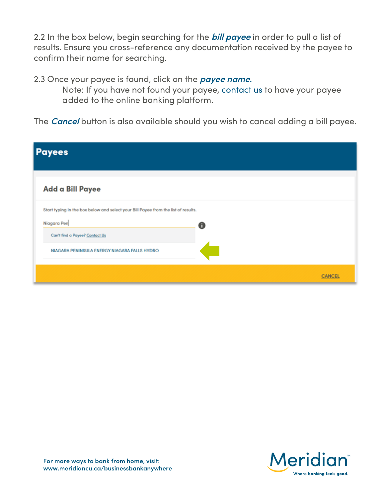2.2 In the box below, begin searching for the **bill payee** in order to pull a list of results. Ensure you cross-reference any documentation received by the payee to confirm their name for searching.

2.3 Once your payee is found, click on the **payee name**.

 Note: If you have not found your payee, contact us to have your payee added to the online banking platform.

The **Cancel** button is also available should you wish to cancel adding a bill payee.

| <b>Payees</b> |                                                                                                                                                                      |   |               |
|---------------|----------------------------------------------------------------------------------------------------------------------------------------------------------------------|---|---------------|
|               | Add a Bill Payee                                                                                                                                                     |   |               |
| Niagara Pen   | Start typing in the box below and select your Bill Payee from the list of results.<br>Can't find a Payee? Contact Us<br>NIAGARA PENINSULA ENERGY NIAGARA FALLS HYDRO | 0 |               |
|               |                                                                                                                                                                      |   | <b>CANCEL</b> |

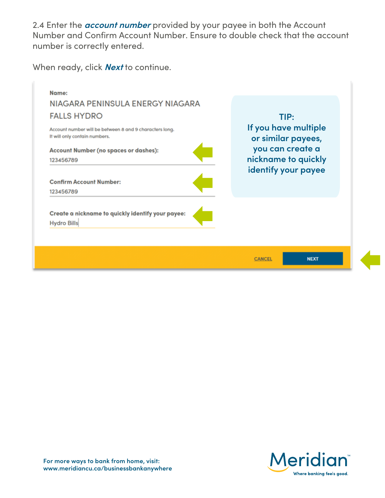2.4 Enter the **account number** provided by your payee in both the Account Number and Confirm Account Number. Ensure to double check that the account number is correctly entered.

When ready, click **Next** to continue.



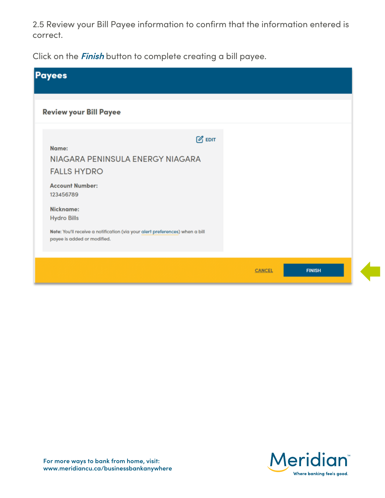2.5 Review your Bill Payee information to confirm that the information entered is correct.

Click on the **Finish** button to complete creating a bill payee.

| <b>Payees</b>                                                                                                                                                                                                                                                                 |               |               |
|-------------------------------------------------------------------------------------------------------------------------------------------------------------------------------------------------------------------------------------------------------------------------------|---------------|---------------|
| <b>Review your Bill Payee</b>                                                                                                                                                                                                                                                 |               |               |
| $\mathbb{Z}$ EDIT<br>Name:<br>NIAGARA PENINSULA ENERGY NIAGARA<br><b>FALLS HYDRO</b><br><b>Account Number:</b><br>123456789<br>Nickname:<br><b>Hydro Bills</b><br>Note: You'll receive a notification (via your alert preferences) when a bill<br>payee is added or modified. |               |               |
|                                                                                                                                                                                                                                                                               | <b>CANCEL</b> | <b>FINISH</b> |

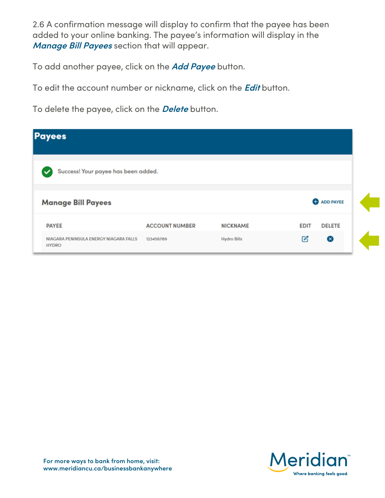2.6 A confirmation message will display to confirm that the payee has been added to your online banking. The payee's information will display in the **Manage Bill Payees** section that will appear.

To add another payee, click on the **Add Payee** button.

To edit the account number or nickname, click on the **Edit** button.

To delete the payee, click on the **Delete** button.

| <b>Payees</b>                                          |                       |                    |             |                    |
|--------------------------------------------------------|-----------------------|--------------------|-------------|--------------------|
| Success! Your payee has been added.                    |                       |                    |             |                    |
| <b>Manage Bill Payees</b>                              |                       |                    |             | <b>O</b> ADD PAYEE |
| <b>PAYEE</b>                                           | <b>ACCOUNT NUMBER</b> | <b>NICKNAME</b>    | <b>EDIT</b> | <b>DELETE</b>      |
| NIAGARA PENINSULA ENERGY NIAGARA FALLS<br><b>HYDRO</b> | 123456789             | <b>Hydro Bills</b> | ఆ           | $\infty$           |

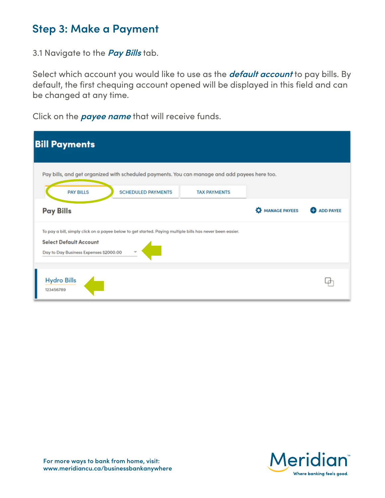#### **Step 3: Make a Payment**

3.1 Navigate to the **Pay Bills** tab.

Select which account you would like to use as the **default account** to pay bills. By default, the first chequing account opened will be displayed in this field and can be changed at any time.

Click on the **payee name** that will receive funds.

| <b>Bill Payments</b>                                                                                                                                                                 |                     |               |                  |  |  |  |  |
|--------------------------------------------------------------------------------------------------------------------------------------------------------------------------------------|---------------------|---------------|------------------|--|--|--|--|
| Pay bills, and get organized with scheduled payments. You can manage and add payees here too.<br><b>PAY BILLS</b><br><b>SCHEDULED PAYMENTS</b>                                       | <b>TAX PAYMENTS</b> |               |                  |  |  |  |  |
| <b>Pay Bills</b>                                                                                                                                                                     |                     | MANAGE PAYEES | <b>ADD PAYEE</b> |  |  |  |  |
| To pay a bill, simply click on a payee below to get started. Paying multiple bills has never been easier.<br><b>Select Default Account</b><br>Day to Day Business Expenses \$2000.00 |                     |               |                  |  |  |  |  |
| <b>Hydro Bills</b><br>123456789                                                                                                                                                      |                     |               |                  |  |  |  |  |

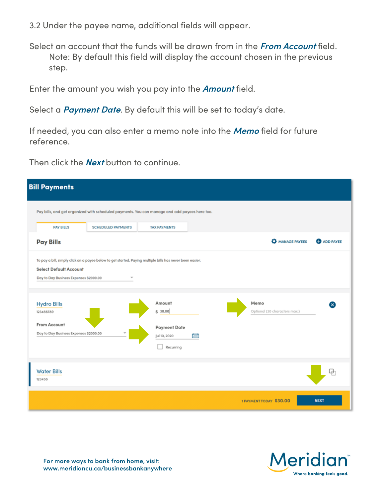- 3.2 Under the payee name, additional fields will appear.
- Select an account that the funds will be drawn from in the **From Account** field. Note: By default this field will display the account chosen in the previous step.

Enter the amount you wish you pay into the **Amount** field.

Select a **Payment Date**. By default this will be set to today's date.

If needed, you can also enter a memo note into the **Memo** field for future reference.

Then click the **Next** button to continue.

| <b>Bill Payments</b>                                                    |                           |                                                                                                           |                                       |                    |  |  |  |
|-------------------------------------------------------------------------|---------------------------|-----------------------------------------------------------------------------------------------------------|---------------------------------------|--------------------|--|--|--|
|                                                                         |                           | Pay bills, and get organized with scheduled payments. You can manage and add payees here too.             |                                       |                    |  |  |  |
| <b>PAY BILLS</b>                                                        | <b>SCHEDULED PAYMENTS</b> | <b>TAX PAYMENTS</b>                                                                                       |                                       |                    |  |  |  |
| <b>Pay Bills</b>                                                        |                           |                                                                                                           | <b>A</b> MANAGE PAYEES                | <b>O</b> ADD PAYEE |  |  |  |
| <b>Select Default Account</b><br>Day to Day Business Expenses \$2000.00 |                           | To pay a bill, simply click on a payee below to get started. Paying multiple bills has never been easier. |                                       |                    |  |  |  |
| <b>Hydro Bills</b><br>123456789                                         |                           | Amount<br>\$30.00                                                                                         | Memo<br>Optional (30 characters max.) |                    |  |  |  |
| From Account<br>Day to Day Business Expenses \$2000.00                  |                           | <b>Payment Date</b><br>Jul 10, 2020<br>Recurring                                                          |                                       |                    |  |  |  |
| <b>Water Bills</b><br>123456                                            |                           |                                                                                                           |                                       | G)                 |  |  |  |
|                                                                         |                           |                                                                                                           | 1 PAYMENT TODAY \$30.00               | <b>NEXT</b>        |  |  |  |



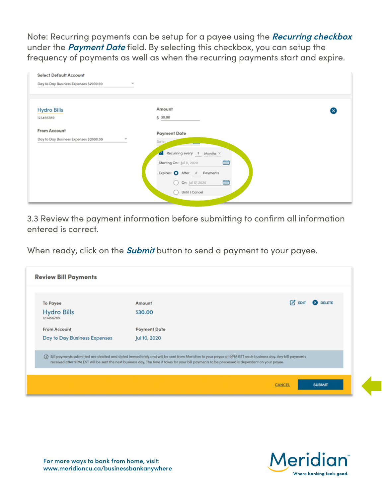Note: Recurring payments can be setup for a payee using the **Recurring checkbox** under the **Payment Date** field. By selecting this checkbox, you can setup the frequency of payments as well as when the recurring payments start and expire.

| <b>Select Default Account</b>               |                                 |   |
|---------------------------------------------|---------------------------------|---|
| Day to Day Business Expenses \$2000.00      | w                               |   |
|                                             |                                 |   |
| <b>Hydro Bills</b>                          | Amount                          | ⊗ |
| 123456789                                   | \$ 30.00                        |   |
| From Account                                |                                 |   |
| Day to Day Business Expenses \$2000.00<br>v | <b>Payment Date</b><br>Date     |   |
|                                             | Recurring every 1 Months *<br>๔ |   |
|                                             | ٣<br>Starting On: Jul 11, 2020  |   |
|                                             | Expires: O After # Payments     |   |
|                                             | O<br>On Jul 17, 2020<br>Ο       |   |
|                                             | Until I Cancel                  |   |
|                                             |                                 |   |

3.3 Review the payment information before submitting to confirm all information entered is correct.

When ready, click on the **Submit** button to send a payment to your payee.

| <b>To Payee</b>                 | Amount                                                                                                                                                                                                                                                                                                        | $\mathcal{C}_1$ EDIT | <b>8</b> DELETE |
|---------------------------------|---------------------------------------------------------------------------------------------------------------------------------------------------------------------------------------------------------------------------------------------------------------------------------------------------------------|----------------------|-----------------|
| <b>Hydro Bills</b><br>123456789 | \$30.00                                                                                                                                                                                                                                                                                                       |                      |                 |
| <b>From Account</b>             | <b>Payment Date</b>                                                                                                                                                                                                                                                                                           |                      |                 |
| Day to Day Business Expenses    | Jul 10, 2020                                                                                                                                                                                                                                                                                                  |                      |                 |
|                                 | (I) Bill payments submitted are debited and dated immediately and will be sent from Meridian to your payee at 9PM EST each business day. Any bill payments<br>received after 9PM EST will be sent the next business day. The time it takes for your bill payments to be processed is dependent on your payee. |                      |                 |

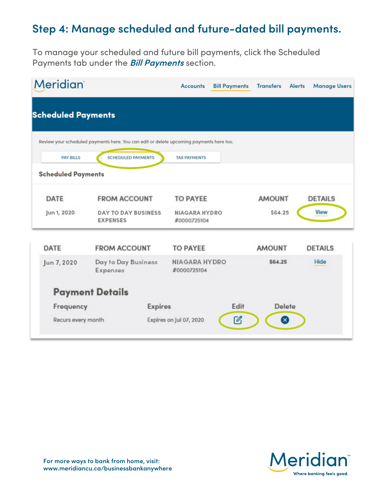### **Step 4: Manage scheduled and future-dated bill payments.**

To manage your scheduled and future bill payments, click the Scheduled Payments tab under the **Bill Payments** section.

| <b>Meridian</b>           |                                                                                         | Accounts                            | <b>Bill Payments</b> | <b>Transfers</b> | <b>Alerts</b> | <b>Manage Users</b> |
|---------------------------|-----------------------------------------------------------------------------------------|-------------------------------------|----------------------|------------------|---------------|---------------------|
| <b>Scheduled Payments</b> |                                                                                         |                                     |                      |                  |               |                     |
|                           | Review your scheduled payments here. You can edit or delete upcoming payments here too. |                                     |                      |                  |               |                     |
| <b>PAY BILLS</b>          | <b>SCHEDULED PAYMENTS</b>                                                               | <b>TAX PAYMENTS</b>                 |                      |                  |               |                     |
| <b>Scheduled Payments</b> |                                                                                         |                                     |                      |                  |               |                     |
| <b>DATE</b>               | <b>FROM ACCOUNT</b>                                                                     | <b>TO PAYEE</b>                     |                      | <b>AMOUNT</b>    |               | <b>DETAILS</b>      |
| Jun 1, 2020               | <b>DAY TO DAY BUSINESS</b><br><b>EXPENSES</b>                                           | <b>NIAGARA HYDRO</b><br>#0000725104 |                      | \$64.25          |               | View                |
| <b>DATE</b>               | <b>FROM ACCOUNT</b>                                                                     | <b>TO PAYEE</b>                     |                      | <b>AMOUNT</b>    |               | <b>DETAILS</b>      |
| Jun 7, 2020               | Day to Day Business<br>Expenses                                                         | <b>NIAGARA HYDRO</b><br>#0000725104 |                      | \$64.25          |               | Hide                |
|                           | <b>Payment Details</b>                                                                  |                                     |                      |                  |               |                     |
| Frequency                 | <b>Expires</b>                                                                          |                                     | Edit                 | <b>Delete</b>    |               |                     |
| Recurs every month        |                                                                                         | Expires on Jul 07, 2020             | ☑                    | $\mathbf x$      |               |                     |

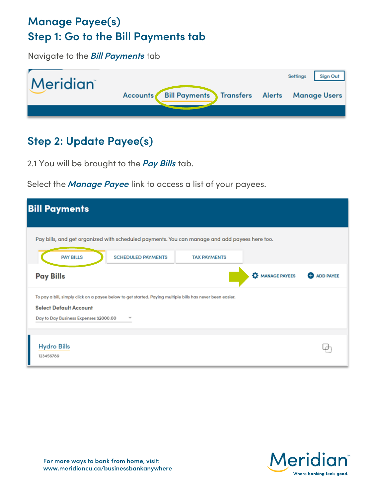## **Manage Payee(s) Step 1: Go to the Bill Payments tab**

Navigate to the **Bill Payments** tab



### **Step 2: Update Payee(s)**

2.1 You will be brought to the **Pay Bills** tab.

Select the **Manage Payee** link to access a list of your payees.

| <b>Bill Payments</b>                                                                                                                                                                 |                           |                     |               |                    |
|--------------------------------------------------------------------------------------------------------------------------------------------------------------------------------------|---------------------------|---------------------|---------------|--------------------|
| Pay bills, and get organized with scheduled payments. You can manage and add payees here too.                                                                                        |                           |                     |               |                    |
| <b>PAY BILLS</b>                                                                                                                                                                     | <b>SCHEDULED PAYMENTS</b> | <b>TAX PAYMENTS</b> |               |                    |
| <b>Pay Bills</b>                                                                                                                                                                     |                           |                     | MANAGE PAYEES | <b>O</b> ADD PAYEE |
| To pay a bill, simply click on a payee below to get started. Paying multiple bills has never been easier.<br><b>Select Default Account</b><br>Day to Day Business Expenses \$2000.00 | $\overline{\phantom{a}}$  |                     |               |                    |
| <b>Hydro Bills</b><br>123456789                                                                                                                                                      |                           |                     |               |                    |

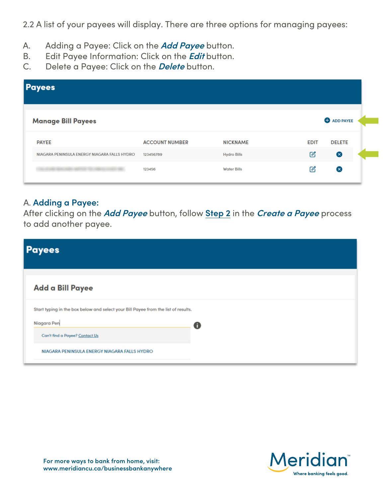2.2 A list of your payees will display. There are three options for managing payees:

- A. Adding a Payee: Click on the **Add Payee** button.
- B. Edit Payee Information: Click on the **Edit** button.
- C. Delete a Payee: Click on the **Delete** button.

| <b>Payees</b>                                |                       |                    |               |                    |
|----------------------------------------------|-----------------------|--------------------|---------------|--------------------|
| <b>Manage Bill Payees</b>                    |                       |                    |               | <b>O</b> ADD PAYEE |
| <b>PAYEE</b>                                 | <b>ACCOUNT NUMBER</b> | <b>NICKNAME</b>    | <b>EDIT</b>   | <b>DELETE</b>      |
| NIAGARA PENINSULA ENERGY NIAGARA FALLS HYDRO | 123456789             | <b>Hydro Bills</b> | $\mathcal{O}$ | ⊗                  |
|                                              | 123456                | <b>Water Bills</b> | $\mathcal{O}$ | ⊗                  |

#### A. **Adding a Payee:**

After clicking on the **Add Payee** button, follow **Step 2** in the **Create a Payee** process to add another payee.

| <b>Payees</b>                                                                                                                       |   |  |  |
|-------------------------------------------------------------------------------------------------------------------------------------|---|--|--|
| Add a Bill Payee                                                                                                                    |   |  |  |
| Start typing in the box below and select your Bill Payee from the list of results.<br>Niagara Pen<br>Can't find a Payee? Contact Us | 0 |  |  |
| NIAGARA PENINSULA ENERGY NIAGARA FALLS HYDRO                                                                                        |   |  |  |

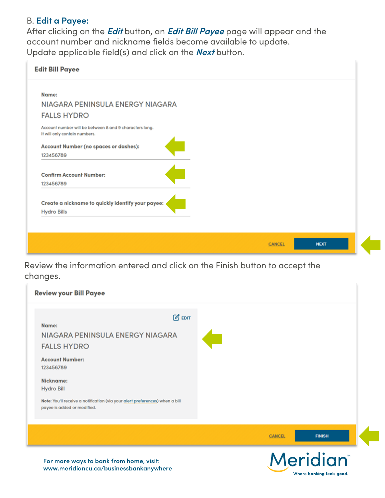#### B. **Edit a Payee:**

After clicking on the **Edit** button, an **Edit Bill Payee** page will appear and the account number and nickname fields become available to update. Update applicable field(s) and click on the **Next** button.

| <b>Edit Bill Payee</b>                                  |                              |  |
|---------------------------------------------------------|------------------------------|--|
| Name:                                                   |                              |  |
| NIAGARA PENINSULA ENERGY NIAGARA                        |                              |  |
|                                                         |                              |  |
| <b>FALLS HYDRO</b>                                      |                              |  |
| Account number will be between 8 and 9 characters long. |                              |  |
| It will only contain numbers.                           |                              |  |
| Account Number (no spaces or dashes):                   |                              |  |
| 123456789                                               |                              |  |
|                                                         |                              |  |
| <b>Confirm Account Number:</b>                          |                              |  |
| 123456789                                               |                              |  |
|                                                         |                              |  |
| Create a nickname to quickly identify your payee: «     |                              |  |
| <b>Hydro Bills</b>                                      |                              |  |
|                                                         |                              |  |
|                                                         |                              |  |
|                                                         | <b>NEXT</b><br><b>CANCEL</b> |  |

Review the information entered and click on the Finish button to accept the changes.

| For more ways to bank from home, visit:                                                                                                       | <b>Meridian</b> ®              |
|-----------------------------------------------------------------------------------------------------------------------------------------------|--------------------------------|
|                                                                                                                                               | <b>FINISH</b><br><b>CANCEL</b> |
| Nickname:<br><b>Hydro Bill</b><br>Note: You'll receive a notification (via your alert preferences) when a bill<br>payee is added or modified. |                                |
| <b>Account Number:</b><br>123456789                                                                                                           |                                |
| $\mathcal{C}$ EDIT<br>Name:<br>NIAGARA PENINSULA ENERGY NIAGARA<br><b>FALLS HYDRO</b>                                                         |                                |
| <b>Review your Bill Payee</b>                                                                                                                 |                                |

Where banking feels good.

**For more ways to bank from home, visit: www.meridiancu.ca/businessbankanywhere**